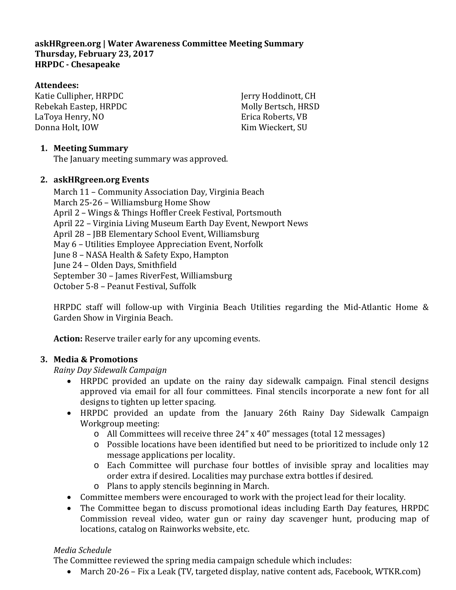# **askHRgreen.org | Water Awareness Committee Meeting Summary Thursday, February 23, 2017 HRPDC - Chesapeake**

# **Attendees:**

Katie Cullipher, HRPDC Rebekah Eastep, HRPDC LaToya Henry, NO Donna Holt, IOW

Jerry Hoddinott, CH Molly Bertsch, HRSD Erica Roberts, VB Kim Wieckert, SU

# **1. Meeting Summary**

The January meeting summary was approved.

## **2. askHRgreen.org Events**

March 11 – Community Association Day, Virginia Beach March 25-26 – Williamsburg Home Show April 2 – Wings & Things Hoffler Creek Festival, Portsmouth April 22 – Virginia Living Museum Earth Day Event, Newport News April 28 – JBB Elementary School Event, Williamsburg May 6 – Utilities Employee Appreciation Event, Norfolk June 8 – NASA Health & Safety Expo, Hampton June 24 – Olden Days, Smithfield September 30 – James RiverFest, Williamsburg October 5-8 – Peanut Festival, Suffolk

HRPDC staff will follow-up with Virginia Beach Utilities regarding the Mid-Atlantic Home & Garden Show in Virginia Beach.

**Action:** Reserve trailer early for any upcoming events.

## **3. Media & Promotions**

*Rainy Day Sidewalk Campaign*

- HRPDC provided an update on the rainy day sidewalk campaign. Final stencil designs approved via email for all four committees. Final stencils incorporate a new font for all designs to tighten up letter spacing.
- HRPDC provided an update from the January 26th Rainy Day Sidewalk Campaign Workgroup meeting:
	- o All Committees will receive three 24" x 40" messages (total 12 messages)
	- o Possible locations have been identified but need to be prioritized to include only 12 message applications per locality.
	- o Each Committee will purchase four bottles of invisible spray and localities may order extra if desired. Localities may purchase extra bottles if desired.
	- o Plans to apply stencils beginning in March.
- Committee members were encouraged to work with the project lead for their locality.
- The Committee began to discuss promotional ideas including Earth Day features, HRPDC Commission reveal video, water gun or rainy day scavenger hunt, producing map of locations, catalog on Rainworks website, etc.

## *Media Schedule*

The Committee reviewed the spring media campaign schedule which includes:

• March 20-26 – Fix a Leak (TV, targeted display, native content ads, Facebook, WTKR.com)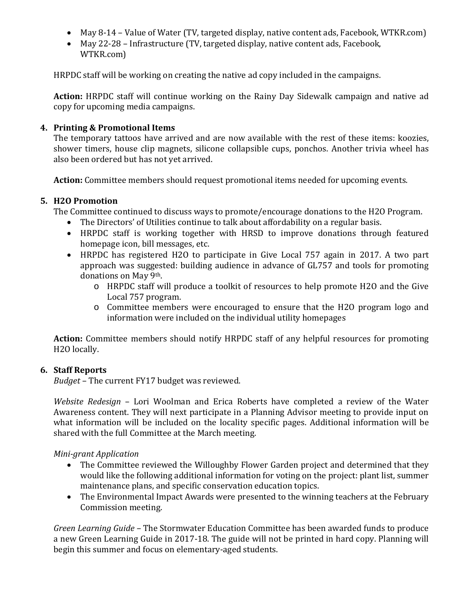- May 8-14 Value of Water (TV, targeted display, native content ads, Facebook, WTKR.com)
- May 22-28 Infrastructure (TV, targeted display, native content ads, Facebook, WTKR.com)

HRPDC staff will be working on creating the native ad copy included in the campaigns.

**Action:** HRPDC staff will continue working on the Rainy Day Sidewalk campaign and native ad copy for upcoming media campaigns.

#### **4. Printing & Promotional Items**

The temporary tattoos have arrived and are now available with the rest of these items: koozies, shower timers, house clip magnets, silicone collapsible cups, ponchos. Another trivia wheel has also been ordered but has not yet arrived.

**Action:** Committee members should request promotional items needed for upcoming events.

#### **5. H2O Promotion**

The Committee continued to discuss ways to promote/encourage donations to the H2O Program.

- The Directors' of Utilities continue to talk about affordability on a regular basis.
- HRPDC staff is working together with HRSD to improve donations through featured homepage icon, bill messages, etc.
- HRPDC has registered H2O to participate in Give Local 757 again in 2017. A two part approach was suggested: building audience in advance of GL757 and tools for promoting donations on May 9th.
	- o HRPDC staff will produce a toolkit of resources to help promote H2O and the Give Local 757 program.
	- o Committee members were encouraged to ensure that the H2O program logo and information were included on the individual utility homepages

**Action:** Committee members should notify HRPDC staff of any helpful resources for promoting H2O locally.

#### **6. Staff Reports**

*Budget* – The current FY17 budget was reviewed.

*Website Redesign* – Lori Woolman and Erica Roberts have completed a review of the Water Awareness content. They will next participate in a Planning Advisor meeting to provide input on what information will be included on the locality specific pages. Additional information will be shared with the full Committee at the March meeting.

#### *Mini-grant Application*

- The Committee reviewed the Willoughby Flower Garden project and determined that they would like the following additional information for voting on the project: plant list, summer maintenance plans, and specific conservation education topics.
- The Environmental Impact Awards were presented to the winning teachers at the February Commission meeting.

*Green Learning Guide –* The Stormwater Education Committee has been awarded funds to produce a new Green Learning Guide in 2017-18. The guide will not be printed in hard copy. Planning will begin this summer and focus on elementary-aged students.